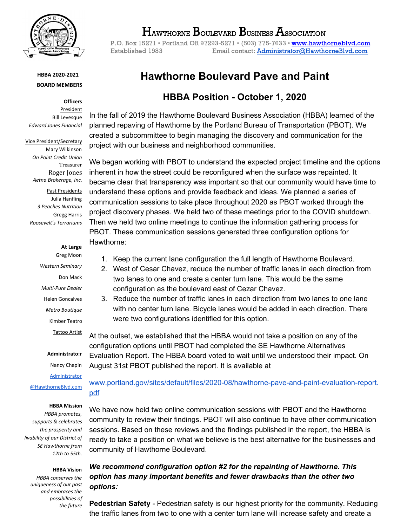

### **HBBA 2020-2021 BOARD MEMBERS**

**Officers** President Bill Levesque *Edward Jones Financial*

Vice President/Secretary Mary Wilkinson *On Point Credit Union* Treasurer Roger Jones *Aetna Brokerage, Inc.*

Past Presidents Julia Hanfling *3 Peaches Nutrition* Gregg Harris *Roosevelt's Terrariums*

### **At Large**

Greg Moon *Western Seminary* Don Mack *Multi-Pure Dealer* Helen Goncalves *Metro Boutique* Kimber Teatro Tattoo Artist

#### **Administrato:r**

Nancy Chapin

[Administrator](mailto:Administrator@HawthorneBlvd.com) [@HawthorneBlvd.com](mailto:Administrator@HawthorneBlvd.com)

#### **HBBA Mission**

*HBBA promotes, supports & celebrates the prosperity and livability of our District of SE Hawthorne from 12th to 55th.*

**HBBA Vision**

*HBBA conserves the uniqueness of our past and embraces the possibilities of the future*

# $\rm H_{\scriptscriptstyle A}$ wthorne  $\rm B_{\scriptscriptstyle O}$ ulevard  $\rm B_{\scriptscriptstyle O}$ usiness  $\rm A_{\scriptscriptstyle S}$ sociation

P.O. Box 15271 • Portland OR 97293-5271 • (503) 775-7633 • [www.hawthorneblvd.com](http://www.hawthorneblvd.com/) Established 1983 Email contact: **[Administrator@HawthorneBlvd.com](mailto:Administrator@HawthorneBlvd.com)** 

# **Hawthorne Boulevard Pave and Paint**

## **HBBA Position - October 1, 2020**

In the fall of 2019 the Hawthorne Boulevard Business Association (HBBA) learned of the planned repaving of Hawthorne by the Portland Bureau of Transportation (PBOT). We created a subcommittee to begin managing the discovery and communication for the project with our business and neighborhood communities.

We began working with PBOT to understand the expected project timeline and the options inherent in how the street could be reconfigured when the surface was repainted. It became clear that transparency was important so that our community would have time to understand these options and provide feedback and ideas. We planned a series of communication sessions to take place throughout 2020 as PBOT worked through the project discovery phases. We held two of these meetings prior to the COVID shutdown. Then we held two online meetings to continue the information gathering process for PBOT. These communication sessions generated three configuration options for Hawthorne:

- 1. Keep the current lane configuration the full length of Hawthorne Boulevard.
- 2. West of Cesar Chavez, reduce the number of traffic lanes in each direction from two lanes to one and create a center turn lane. This would be the same configuration as the boulevard east of Cezar Chavez.
- 3. Reduce the number of traffic lanes in each direction from two lanes to one lane with no center turn lane. Bicycle lanes would be added in each direction. There were two configurations identified for this option.

At the outset, we established that the HBBA would not take a position on any of the configuration options until PBOT had completed the SE Hawthorne Alternatives Evaluation Report. The HBBA board voted to wait until we understood their impact. On August 31st PBOT published the report. It is available at

[www.portland.gov/sites/default/files/2020-08/hawthorne-pave-and-paint-evaluation-report.](http://www.portland.gov/sites/default/files/2020-08/hawthorne-pave-and-paint-evaluation-report.pdf) [pdf](http://www.portland.gov/sites/default/files/2020-08/hawthorne-pave-and-paint-evaluation-report.pdf)

We have now held two online communication sessions with PBOT and the Hawthorne community to review their findings. PBOT will also continue to have other communication sessions. Based on these reviews and the findings published in the report, the HBBA is ready to take a position on what we believe is the best alternative for the businesses and community of Hawthorne Boulevard.

### *We recommend configuration option #2 for the repainting of Hawthorne. This option has many important benefits and fewer drawbacks than the other two options:*

**Pedestrian Safety** - Pedestrian safety is our highest priority for the community. Reducing the traffic lanes from two to one with a center turn lane will increase safety and create a